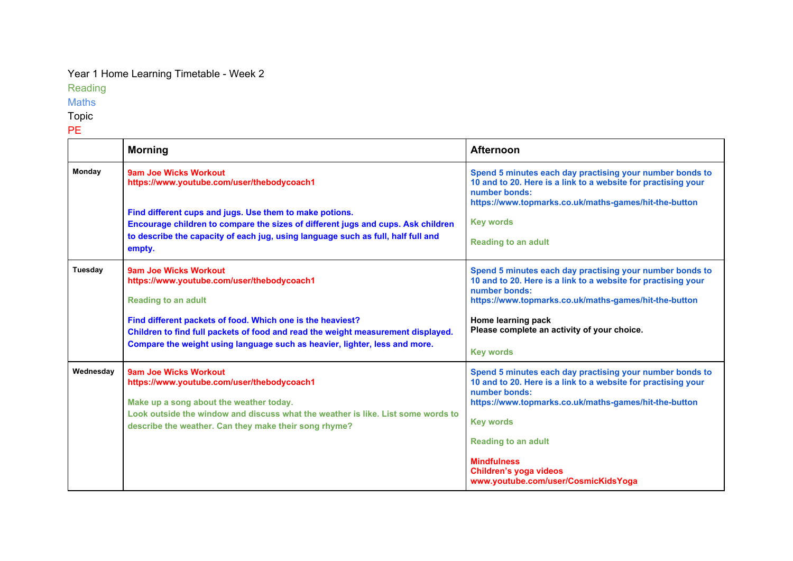## Year 1 Home Learning Timetable - Week 2

Reading

Maths

Topic

PE

|               | <b>Morning</b>                                                                                                                                                                                                                                                                                                                    | <b>Afternoon</b>                                                                                                                                                                                                                                                                                                                             |
|---------------|-----------------------------------------------------------------------------------------------------------------------------------------------------------------------------------------------------------------------------------------------------------------------------------------------------------------------------------|----------------------------------------------------------------------------------------------------------------------------------------------------------------------------------------------------------------------------------------------------------------------------------------------------------------------------------------------|
| <b>Monday</b> | 9am Joe Wicks Workout<br>https://www.youtube.com/user/thebodycoach1<br>Find different cups and jugs. Use them to make potions.<br>Encourage children to compare the sizes of different jugs and cups. Ask children<br>to describe the capacity of each jug, using language such as full, half full and<br>empty.                  | Spend 5 minutes each day practising your number bonds to<br>10 and to 20. Here is a link to a website for practising your<br>number bonds:<br>https://www.topmarks.co.uk/maths-games/hit-the-button<br><b>Key words</b><br><b>Reading to an adult</b>                                                                                        |
| Tuesday       | 9am Joe Wicks Workout<br>https://www.youtube.com/user/thebodycoach1<br><b>Reading to an adult</b><br>Find different packets of food. Which one is the heaviest?<br>Children to find full packets of food and read the weight measurement displayed.<br>Compare the weight using language such as heavier, lighter, less and more. | Spend 5 minutes each day practising your number bonds to<br>10 and to 20. Here is a link to a website for practising your<br>number bonds:<br>https://www.topmarks.co.uk/maths-games/hit-the-button<br>Home learning pack<br>Please complete an activity of your choice.<br><b>Key words</b>                                                 |
| Wednesday     | <b>9am Joe Wicks Workout</b><br>https://www.youtube.com/user/thebodycoach1<br>Make up a song about the weather today.<br>Look outside the window and discuss what the weather is like. List some words to<br>describe the weather. Can they make their song rhyme?                                                                | Spend 5 minutes each day practising your number bonds to<br>10 and to 20. Here is a link to a website for practising your<br>number bonds:<br>https://www.topmarks.co.uk/maths-games/hit-the-button<br><b>Key words</b><br><b>Reading to an adult</b><br><b>Mindfulness</b><br>Children's yoga videos<br>www.youtube.com/user/CosmicKidsYoga |